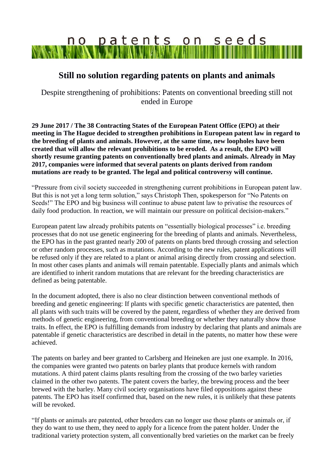## no patents on seeds **WAAN MIN**

## **Still no solution regarding patents on plants and animals**

Despite strengthening of prohibitions: Patents on conventional breeding still not ended in Europe

**29 June 2017 / The 38 Contracting States of the European Patent Office (EPO) at their meeting in The Hague decided to strengthen prohibitions in European patent law in regard to the breeding of plants and animals. However, at the same time, new loopholes have been created that will allow the relevant prohibitions to be eroded. As a result, the EPO will shortly resume granting patents on conventionally bred plants and animals. Already in May 2017, companies were informed that several patents on plants derived from random mutations are ready to be granted. The legal and political controversy will continue.** 

"Pressure from civil society succeeded in strengthening current prohibitions in European patent law. But this is not yet a long term solution," says Christoph Then, spokesperson for "No Patents on Seeds!" The EPO and big business will continue to abuse patent law to privatise the resources of daily food production. In reaction, we will maintain our pressure on political decision-makers."

European patent law already prohibits patents on "essentially biological processes" i.e. breeding processes that do not use genetic engineering for the breeding of plants and animals. Nevertheless, the EPO has in the past granted nearly 200 of patents on plants bred through crossing and selection or other random processes, such as mutations. According to the new rules, patent applications will be refused only if they are related to a plant or animal arising directly from crossing and selection. In most other cases plants and animals will remain patentable. Especially plants and animals which are identified to inherit random mutations that are relevant for the breeding characteristics are defined as being patentable.

In the document adopted, there is also no clear distinction between conventional methods of breeding and genetic engineering: If plants with specific genetic characteristics are patented, then all plants with such traits will be covered by the patent, regardless of whether they are derived from methods of genetic engineering, from conventional breeding or whether they naturally show those traits. In effect, the EPO is fulfilling demands from industry by declaring that plants and animals are patentable if genetic characteristics are described in detail in the patents, no matter how these were achieved.

The patents on barley and beer granted to Carlsberg and Heineken are just one example. In 2016, the companies were granted two patents on barley plants that produce kernels with random mutations. A third patent claims plants resulting from the crossing of the two barley varieties claimed in the other two patents. The patent covers the barley, the brewing process and the beer brewed with the barley. Many civil society organisations have filed oppositions against these patents. The EPO has itself confirmed that, based on the new rules, it is unlikely that these patents will be revoked.

"If plants or animals are patented, other breeders can no longer use those plants or animals or, if they do want to use them, they need to apply for a licence from the patent holder. Under the traditional variety protection system, all conventionally bred varieties on the market can be freely